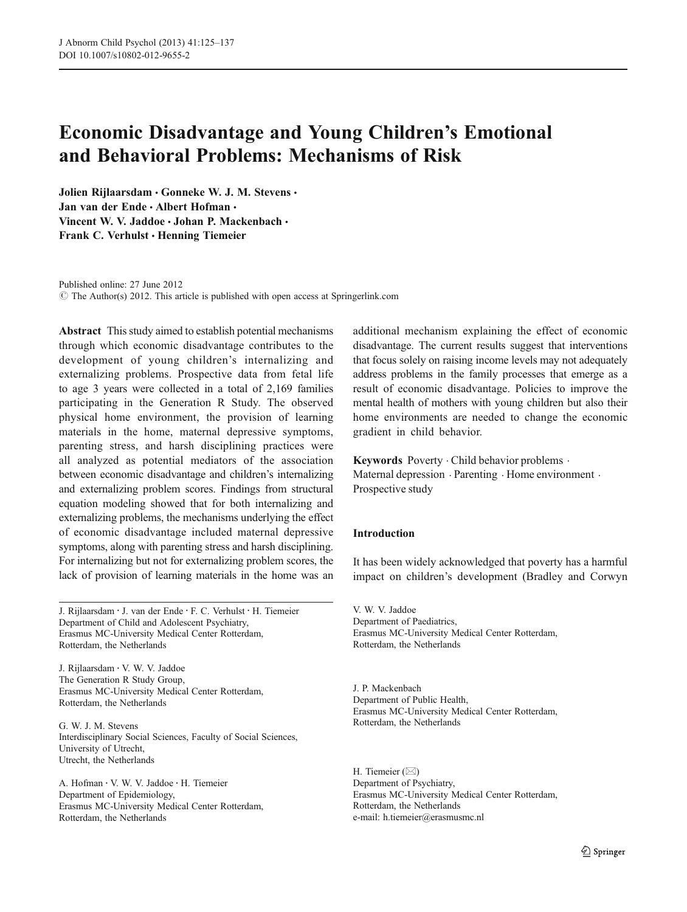# Economic Disadvantage and Young Children's Emotional and Behavioral Problems: Mechanisms of Risk

Jolien Riilaarsdam • Gonneke W. J. M. Stevens • Jan van der Ende · Albert Hofman · Vincent W. V. Jaddoe  $\cdot$  Johan P. Mackenbach  $\cdot$ Frank C. Verhulst · Henning Tiemeier

Published online: 27 June 2012  $\odot$  The Author(s) 2012. This article is published with open access at Springerlink.com

Abstract This study aimed to establish potential mechanisms through which economic disadvantage contributes to the development of young children's internalizing and externalizing problems. Prospective data from fetal life to age 3 years were collected in a total of 2,169 families participating in the Generation R Study. The observed physical home environment, the provision of learning materials in the home, maternal depressive symptoms, parenting stress, and harsh disciplining practices were all analyzed as potential mediators of the association between economic disadvantage and children's internalizing and externalizing problem scores. Findings from structural equation modeling showed that for both internalizing and externalizing problems, the mechanisms underlying the effect of economic disadvantage included maternal depressive symptoms, along with parenting stress and harsh disciplining. For internalizing but not for externalizing problem scores, the lack of provision of learning materials in the home was an

J. Rijlaarsdam : J. van der Ende : F. C. Verhulst : H. Tiemeier Department of Child and Adolescent Psychiatry, Erasmus MC-University Medical Center Rotterdam, Rotterdam, the Netherlands

J. Rijlaarsdam : V. W. V. Jaddoe The Generation R Study Group, Erasmus MC-University Medical Center Rotterdam, Rotterdam, the Netherlands

G. W. J. M. Stevens Interdisciplinary Social Sciences, Faculty of Social Sciences, University of Utrecht, Utrecht, the Netherlands

A. Hofman : V. W. V. Jaddoe : H. Tiemeier Department of Epidemiology, Erasmus MC-University Medical Center Rotterdam, Rotterdam, the Netherlands

additional mechanism explaining the effect of economic disadvantage. The current results suggest that interventions that focus solely on raising income levels may not adequately address problems in the family processes that emerge as a result of economic disadvantage. Policies to improve the mental health of mothers with young children but also their home environments are needed to change the economic gradient in child behavior.

Keywords Poverty . Child behavior problems . Maternal depression  $\cdot$  Parenting  $\cdot$  Home environment  $\cdot$ Prospective study

#### Introduction

It has been widely acknowledged that poverty has a harmful impact on children's development (Bradley and Corwyn

V. W. V. Jaddoe Department of Paediatrics, Erasmus MC-University Medical Center Rotterdam, Rotterdam, the Netherlands

J. P. Mackenbach Department of Public Health, Erasmus MC-University Medical Center Rotterdam, Rotterdam, the Netherlands

H. Tiemeier  $(\boxtimes)$ Department of Psychiatry, Erasmus MC-University Medical Center Rotterdam, Rotterdam, the Netherlands e-mail: h.tiemeier@erasmusmc.nl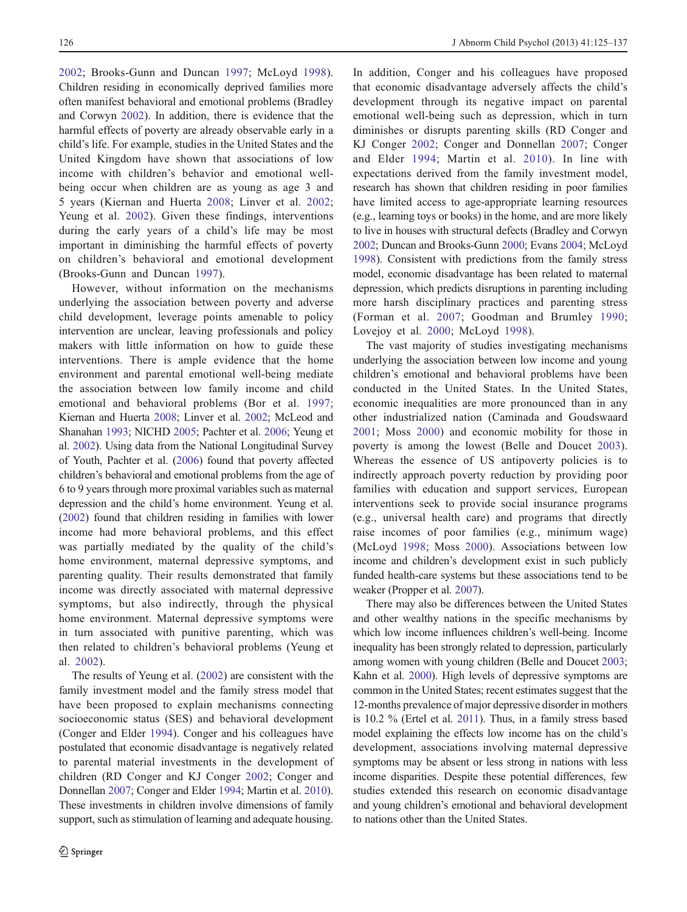[2002;](#page-11-0) Brooks-Gunn and Duncan [1997;](#page-11-0) McLoyd [1998](#page-12-0)). Children residing in economically deprived families more often manifest behavioral and emotional problems (Bradley and Corwyn [2002](#page-11-0)). In addition, there is evidence that the harmful effects of poverty are already observable early in a child's life. For example, studies in the United States and the United Kingdom have shown that associations of low income with children's behavior and emotional wellbeing occur when children are as young as age 3 and 5 years (Kiernan and Huerta [2008;](#page-12-0) Linver et al. [2002](#page-12-0); Yeung et al. [2002](#page-12-0)). Given these findings, interventions during the early years of a child's life may be most important in diminishing the harmful effects of poverty on children's behavioral and emotional development (Brooks-Gunn and Duncan [1997](#page-11-0)).

However, without information on the mechanisms underlying the association between poverty and adverse child development, leverage points amenable to policy intervention are unclear, leaving professionals and policy makers with little information on how to guide these interventions. There is ample evidence that the home environment and parental emotional well-being mediate the association between low family income and child emotional and behavioral problems (Bor et al. [1997](#page-11-0); Kiernan and Huerta [2008](#page-12-0); Linver et al. [2002;](#page-12-0) McLeod and Shanahan [1993](#page-12-0); NICHD [2005](#page-12-0); Pachter et al. [2006;](#page-12-0) Yeung et al. [2002\)](#page-12-0). Using data from the National Longitudinal Survey of Youth, Pachter et al. [\(2006\)](#page-12-0) found that poverty affected children's behavioral and emotional problems from the age of 6 to 9 years through more proximal variables such as maternal depression and the child's home environment. Yeung et al. [\(2002\)](#page-12-0) found that children residing in families with lower income had more behavioral problems, and this effect was partially mediated by the quality of the child's home environment, maternal depressive symptoms, and parenting quality. Their results demonstrated that family income was directly associated with maternal depressive symptoms, but also indirectly, through the physical home environment. Maternal depressive symptoms were in turn associated with punitive parenting, which was then related to children's behavioral problems (Yeung et al. [2002\)](#page-12-0).

The results of Yeung et al. ([2002\)](#page-12-0) are consistent with the family investment model and the family stress model that have been proposed to explain mechanisms connecting socioeconomic status (SES) and behavioral development (Conger and Elder [1994\)](#page-11-0). Conger and his colleagues have postulated that economic disadvantage is negatively related to parental material investments in the development of children (RD Conger and KJ Conger [2002](#page-11-0); Conger and Donnellan [2007](#page-11-0); Conger and Elder [1994](#page-11-0); Martin et al. [2010\)](#page-12-0). These investments in children involve dimensions of family support, such as stimulation of learning and adequate housing.

In addition, Conger and his colleagues have proposed that economic disadvantage adversely affects the child's development through its negative impact on parental emotional well-being such as depression, which in turn diminishes or disrupts parenting skills (RD Conger and KJ Conger [2002](#page-11-0); Conger and Donnellan [2007;](#page-11-0) Conger and Elder [1994;](#page-11-0) Martin et al. [2010](#page-12-0)). In line with expectations derived from the family investment model, research has shown that children residing in poor families have limited access to age-appropriate learning resources (e.g., learning toys or books) in the home, and are more likely to live in houses with structural defects (Bradley and Corwyn [2002;](#page-11-0) Duncan and Brooks-Gunn [2000;](#page-11-0) Evans [2004;](#page-11-0) McLoyd [1998](#page-12-0)). Consistent with predictions from the family stress model, economic disadvantage has been related to maternal depression, which predicts disruptions in parenting including more harsh disciplinary practices and parenting stress (Forman et al. [2007;](#page-11-0) Goodman and Brumley [1990;](#page-11-0) Lovejoy et al. [2000;](#page-12-0) McLoyd [1998\)](#page-12-0).

The vast majority of studies investigating mechanisms underlying the association between low income and young children's emotional and behavioral problems have been conducted in the United States. In the United States, economic inequalities are more pronounced than in any other industrialized nation (Caminada and Goudswaard [2001](#page-11-0); Moss [2000\)](#page-12-0) and economic mobility for those in poverty is among the lowest (Belle and Doucet [2003](#page-11-0)). Whereas the essence of US antipoverty policies is to indirectly approach poverty reduction by providing poor families with education and support services, European interventions seek to provide social insurance programs (e.g., universal health care) and programs that directly raise incomes of poor families (e.g., minimum wage) (McLoyd [1998](#page-12-0); Moss [2000\)](#page-12-0). Associations between low income and children's development exist in such publicly funded health-care systems but these associations tend to be weaker (Propper et al. [2007](#page-12-0)).

There may also be differences between the United States and other wealthy nations in the specific mechanisms by which low income influences children's well-being. Income inequality has been strongly related to depression, particularly among women with young children (Belle and Doucet [2003;](#page-11-0) Kahn et al. [2000](#page-12-0)). High levels of depressive symptoms are common in the United States; recent estimates suggest that the 12-months prevalence of major depressive disorder in mothers is 10.2 % (Ertel et al. [2011\)](#page-11-0). Thus, in a family stress based model explaining the effects low income has on the child's development, associations involving maternal depressive symptoms may be absent or less strong in nations with less income disparities. Despite these potential differences, few studies extended this research on economic disadvantage and young children's emotional and behavioral development to nations other than the United States.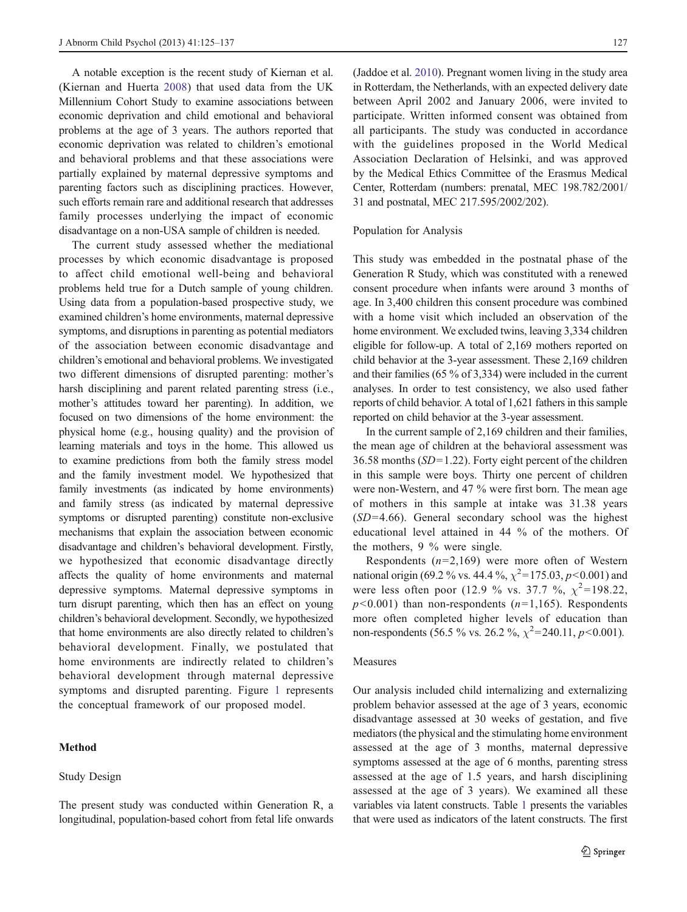A notable exception is the recent study of Kiernan et al. (Kiernan and Huerta [2008](#page-12-0)) that used data from the UK Millennium Cohort Study to examine associations between economic deprivation and child emotional and behavioral problems at the age of 3 years. The authors reported that economic deprivation was related to children's emotional and behavioral problems and that these associations were partially explained by maternal depressive symptoms and parenting factors such as disciplining practices. However, such efforts remain rare and additional research that addresses family processes underlying the impact of economic disadvantage on a non-USA sample of children is needed.

The current study assessed whether the mediational processes by which economic disadvantage is proposed to affect child emotional well-being and behavioral problems held true for a Dutch sample of young children. Using data from a population-based prospective study, we examined children's home environments, maternal depressive symptoms, and disruptions in parenting as potential mediators of the association between economic disadvantage and children's emotional and behavioral problems. We investigated two different dimensions of disrupted parenting: mother's harsh disciplining and parent related parenting stress (i.e., mother's attitudes toward her parenting). In addition, we focused on two dimensions of the home environment: the physical home (e.g., housing quality) and the provision of learning materials and toys in the home. This allowed us to examine predictions from both the family stress model and the family investment model. We hypothesized that family investments (as indicated by home environments) and family stress (as indicated by maternal depressive symptoms or disrupted parenting) constitute non-exclusive mechanisms that explain the association between economic disadvantage and children's behavioral development. Firstly, we hypothesized that economic disadvantage directly affects the quality of home environments and maternal depressive symptoms. Maternal depressive symptoms in turn disrupt parenting, which then has an effect on young children's behavioral development. Secondly, we hypothesized that home environments are also directly related to children's behavioral development. Finally, we postulated that home environments are indirectly related to children's behavioral development through maternal depressive symptoms and disrupted parenting. Figure [1](#page-3-0) represents the conceptual framework of our proposed model.

# Method

#### Study Design

(Jaddoe et al. [2010](#page-12-0)). Pregnant women living in the study area in Rotterdam, the Netherlands, with an expected delivery date between April 2002 and January 2006, were invited to participate. Written informed consent was obtained from all participants. The study was conducted in accordance with the guidelines proposed in the World Medical Association Declaration of Helsinki, and was approved by the Medical Ethics Committee of the Erasmus Medical Center, Rotterdam (numbers: prenatal, MEC 198.782/2001/ 31 and postnatal, MEC 217.595/2002/202).

#### Population for Analysis

This study was embedded in the postnatal phase of the Generation R Study, which was constituted with a renewed consent procedure when infants were around 3 months of age. In 3,400 children this consent procedure was combined with a home visit which included an observation of the home environment. We excluded twins, leaving 3,334 children eligible for follow-up. A total of 2,169 mothers reported on child behavior at the 3-year assessment. These 2,169 children and their families (65 % of 3,334) were included in the current analyses. In order to test consistency, we also used father reports of child behavior. A total of 1,621 fathers in this sample reported on child behavior at the 3-year assessment.

In the current sample of 2,169 children and their families, the mean age of children at the behavioral assessment was 36.58 months  $(SD=1.22)$ . Forty eight percent of the children in this sample were boys. Thirty one percent of children were non-Western, and 47 % were first born. The mean age of mothers in this sample at intake was 31.38 years  $(SD=4.66)$ . General secondary school was the highest educational level attained in 44 % of the mothers. Of the mothers, 9 % were single.

Respondents  $(n=2,169)$  were more often of Western national origin (69.2 % vs. 44.4 %,  $\chi^2$ =175.03, p<0.001) and were less often poor (12.9 % vs. 37.7 %,  $\chi^2$ =198.22,  $p<0.001$ ) than non-respondents ( $n=1,165$ ). Respondents more often completed higher levels of education than non-respondents (56.5 % vs. 26.2 %,  $\chi^2$ =240.11, p<0.001).

#### Measures

Our analysis included child internalizing and externalizing problem behavior assessed at the age of 3 years, economic disadvantage assessed at 30 weeks of gestation, and five mediators (the physical and the stimulating home environment assessed at the age of 3 months, maternal depressive symptoms assessed at the age of 6 months, parenting stress assessed at the age of 1.5 years, and harsh disciplining assessed at the age of 3 years). We examined all these variables via latent constructs. Table [1](#page-4-0) presents the variables that were used as indicators of the latent constructs. The first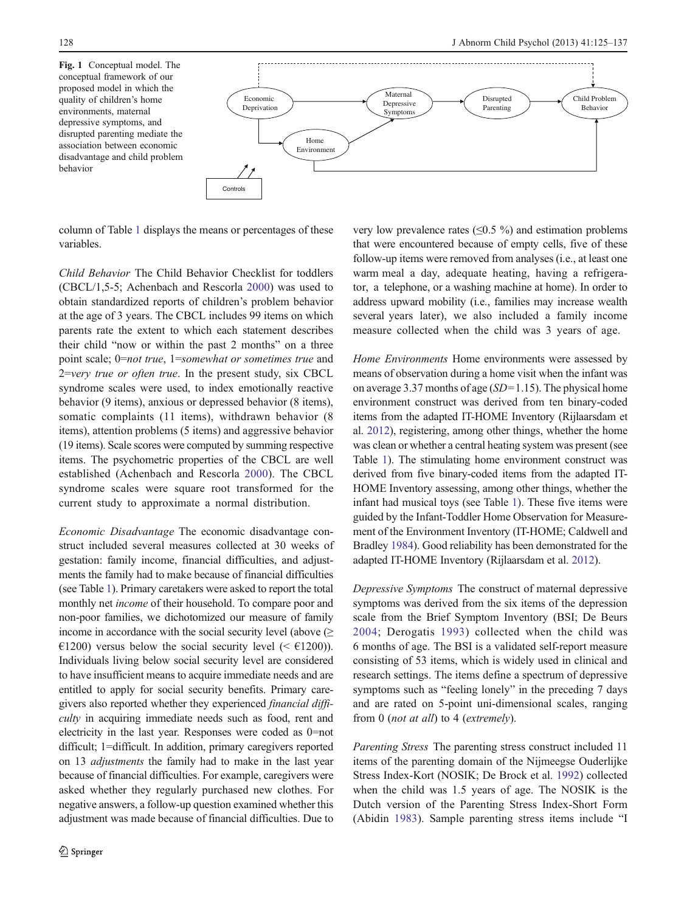<span id="page-3-0"></span>128 J Abnorm Child Psychol (2013) 41:125–137



column of Table [1](#page-4-0) displays the means or percentages of these variables.

Child Behavior The Child Behavior Checklist for toddlers (CBCL/1,5-5; Achenbach and Rescorla [2000\)](#page-11-0) was used to obtain standardized reports of children's problem behavior at the age of 3 years. The CBCL includes 99 items on which parents rate the extent to which each statement describes their child "now or within the past 2 months" on a three point scale; 0=not true, 1=somewhat or sometimes true and  $2=$ very true or often true. In the present study, six CBCL syndrome scales were used, to index emotionally reactive behavior (9 items), anxious or depressed behavior (8 items), somatic complaints (11 items), withdrawn behavior (8 items), attention problems (5 items) and aggressive behavior (19 items). Scale scores were computed by summing respective items. The psychometric properties of the CBCL are well established (Achenbach and Rescorla [2000\)](#page-11-0). The CBCL syndrome scales were square root transformed for the current study to approximate a normal distribution.

Economic Disadvantage The economic disadvantage construct included several measures collected at 30 weeks of gestation: family income, financial difficulties, and adjustments the family had to make because of financial difficulties (see Table [1\)](#page-4-0). Primary caretakers were asked to report the total monthly net income of their household. To compare poor and non-poor families, we dichotomized our measure of family income in accordance with the social security level (above (≥ €1200) versus below the social security level (< €1200)). Individuals living below social security level are considered to have insufficient means to acquire immediate needs and are entitled to apply for social security benefits. Primary caregivers also reported whether they experienced financial difficulty in acquiring immediate needs such as food, rent and electricity in the last year. Responses were coded as  $0$ =not difficult; 1=difficult. In addition, primary caregivers reported on 13 adjustments the family had to make in the last year because of financial difficulties. For example, caregivers were asked whether they regularly purchased new clothes. For negative answers, a follow-up question examined whether this adjustment was made because of financial difficulties. Due to

very low prevalence rates  $(\leq 0.5 \%)$  and estimation problems that were encountered because of empty cells, five of these follow-up items were removed from analyses (i.e., at least one warm meal a day, adequate heating, having a refrigerator, a telephone, or a washing machine at home). In order to address upward mobility (i.e., families may increase wealth several years later), we also included a family income measure collected when the child was 3 years of age.

Home Environments Home environments were assessed by means of observation during a home visit when the infant was on average 3.37 months of age  $(SD=1.15)$ . The physical home environment construct was derived from ten binary-coded items from the adapted IT-HOME Inventory (Rijlaarsdam et al. [2012\)](#page-12-0), registering, among other things, whether the home was clean or whether a central heating system was present (see Table [1](#page-4-0)). The stimulating home environment construct was derived from five binary-coded items from the adapted IT-HOME Inventory assessing, among other things, whether the infant had musical toys (see Table [1\)](#page-4-0). These five items were guided by the Infant-Toddler Home Observation for Measurement of the Environment Inventory (IT-HOME; Caldwell and Bradley [1984](#page-11-0)). Good reliability has been demonstrated for the adapted IT-HOME Inventory (Rijlaarsdam et al. [2012](#page-12-0)).

Depressive Symptoms The construct of maternal depressive symptoms was derived from the six items of the depression scale from the Brief Symptom Inventory (BSI; De Beurs [2004;](#page-11-0) Derogatis [1993\)](#page-11-0) collected when the child was 6 months of age. The BSI is a validated self-report measure consisting of 53 items, which is widely used in clinical and research settings. The items define a spectrum of depressive symptoms such as "feeling lonely" in the preceding 7 days and are rated on 5-point uni-dimensional scales, ranging from 0 (not at all) to 4 (extremely).

Parenting Stress The parenting stress construct included 11 items of the parenting domain of the Nijmeegse Ouderlijke Stress Index-Kort (NOSIK; De Brock et al. [1992\)](#page-11-0) collected when the child was 1.5 years of age. The NOSIK is the Dutch version of the Parenting Stress Index-Short Form (Abidin [1983](#page-11-0)). Sample parenting stress items include "I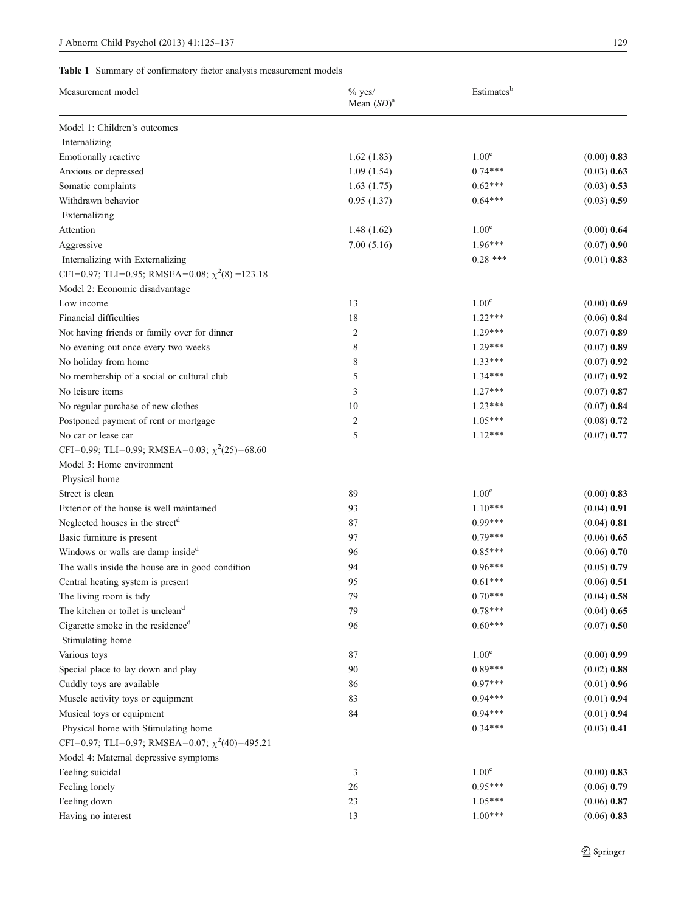# <span id="page-4-0"></span>Table 1 Summary of confirmatory factor analysis measurement models

| Measurement model                                    | $%$ yes/<br>Mean $(SD)^a$ | Estimates <sup>b</sup> |               |  |
|------------------------------------------------------|---------------------------|------------------------|---------------|--|
| Model 1: Children's outcomes                         |                           |                        |               |  |
| Internalizing                                        |                           |                        |               |  |
| Emotionally reactive                                 | 1.62(1.83)                | 1.00 <sup>c</sup>      | $(0.00)$ 0.83 |  |
| Anxious or depressed                                 | 1.09(1.54)                | $0.74***$              | $(0.03)$ 0.63 |  |
| Somatic complaints                                   | 1.63(1.75)                | $0.62***$              | $(0.03)$ 0.53 |  |
| Withdrawn behavior                                   | 0.95(1.37)                | $0.64***$              | $(0.03)$ 0.59 |  |
| Externalizing                                        |                           |                        |               |  |
| Attention                                            | 1.48(1.62)                | 1.00 <sup>c</sup>      | $(0.00)$ 0.64 |  |
| Aggressive                                           | 7.00(5.16)                | $1.96***$              | $(0.07)$ 0.90 |  |
| Internalizing with Externalizing                     |                           | $0.28$ ***             | $(0.01)$ 0.83 |  |
| CFI=0.97; TLI=0.95; RMSEA=0.08; $\chi^2(8)$ =123.18  |                           |                        |               |  |
| Model 2: Economic disadvantage                       |                           |                        |               |  |
| Low income                                           | 13                        | 1.00 <sup>c</sup>      | $(0.00)$ 0.69 |  |
| Financial difficulties                               | 18                        | $1.22***$              | $(0.06)$ 0.84 |  |
| Not having friends or family over for dinner         | $\overline{2}$            | $1.29***$              | $(0.07)$ 0.89 |  |
| No evening out once every two weeks                  | 8                         | $1.29***$              | $(0.07)$ 0.89 |  |
| No holiday from home                                 | 8                         | $1.33***$              | $(0.07)$ 0.92 |  |
| No membership of a social or cultural club           | 5                         | $1.34***$              | $(0.07)$ 0.92 |  |
| No leisure items                                     | 3                         | $1.27***$              | $(0.07)$ 0.87 |  |
| No regular purchase of new clothes                   | 10                        | $1.23***$              | $(0.07)$ 0.84 |  |
| Postponed payment of rent or mortgage                | $\overline{c}$            | $1.05***$              | $(0.08)$ 0.72 |  |
| No car or lease car                                  | 5                         | $1.12***$              | $(0.07)$ 0.77 |  |
| CFI=0.99; TLI=0.99; RMSEA=0.03; $\chi^2$ (25)=68.60  |                           |                        |               |  |
| Model 3: Home environment                            |                           |                        |               |  |
| Physical home                                        |                           |                        |               |  |
| Street is clean                                      | 89                        | 1.00 <sup>c</sup>      | $(0.00)$ 0.83 |  |
| Exterior of the house is well maintained             | 93                        | $1.10***$              | $(0.04)$ 0.91 |  |
| Neglected houses in the street <sup>d</sup>          | 87                        | $0.99***$              | $(0.04)$ 0.81 |  |
| Basic furniture is present                           | 97                        | $0.79***$              | $(0.06)$ 0.65 |  |
| Windows or walls are damp inside <sup>d</sup>        | 96                        | $0.85***$              | $(0.06)$ 0.70 |  |
| The walls inside the house are in good condition     | 94                        | $0.96***$              | $(0.05)$ 0.79 |  |
| Central heating system is present                    | 95                        | $0.61***$              | $(0.06)$ 0.51 |  |
| The living room is tidy                              | 79                        | $0.70***$              | $(0.04)$ 0.58 |  |
| The kitchen or toilet is unclean <sup>d</sup>        | 79                        | $0.78***$              | $(0.04)$ 0.65 |  |
| Cigarette smoke in the residence <sup>d</sup>        | 96                        | $0.60***$              | $(0.07)$ 0.50 |  |
| Stimulating home                                     |                           |                        |               |  |
| Various toys                                         | 87                        | $1.00^{\circ}$         | $(0.00)$ 0.99 |  |
| Special place to lay down and play                   | 90                        | $0.89***$              | $(0.02)$ 0.88 |  |
| Cuddly toys are available                            | 86                        | $0.97***$              | $(0.01)$ 0.96 |  |
| Muscle activity toys or equipment                    | 83                        | $0.94***$              | $(0.01)$ 0.94 |  |
| Musical toys or equipment                            | 84                        | $0.94***$              | $(0.01)$ 0.94 |  |
| Physical home with Stimulating home                  |                           | $0.34***$              | $(0.03)$ 0.41 |  |
| CFI=0.97; TLI=0.97; RMSEA=0.07; $\chi^2$ (40)=495.21 |                           |                        |               |  |
| Model 4: Maternal depressive symptoms                |                           |                        |               |  |
| Feeling suicidal                                     | 3                         | $1.00^{\circ}$         | $(0.00)$ 0.83 |  |
| Feeling lonely                                       | 26                        | $0.95***$              | $(0.06)$ 0.79 |  |
| Feeling down                                         | 23                        | $1.05***$              | $(0.06)$ 0.87 |  |
| Having no interest                                   | 13                        | $1.00***$              | $(0.06)$ 0.83 |  |
|                                                      |                           |                        |               |  |

 $\underline{\textcircled{\tiny 2}}$  Springer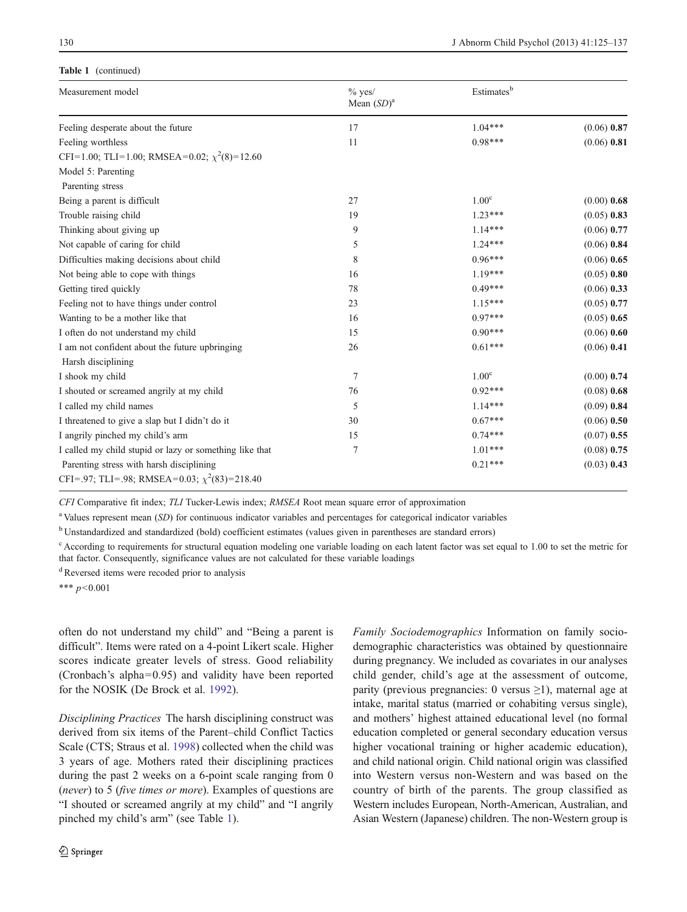## Table 1 (continued)

| Measurement model                                                                              | % yes/<br>Mean $(SD)^a$ | Estimatesb        |               |  |
|------------------------------------------------------------------------------------------------|-------------------------|-------------------|---------------|--|
| Feeling desperate about the future                                                             | 17                      | $1.04***$         | $(0.06)$ 0.87 |  |
| Feeling worthless                                                                              | 11                      | $0.98***$         | $(0.06)$ 0.81 |  |
| CFI=1.00; TLI=1.00; RMSEA=0.02; $\chi^2(8)$ =12.60                                             |                         |                   |               |  |
| Model 5: Parenting                                                                             |                         |                   |               |  |
| Parenting stress                                                                               |                         |                   |               |  |
| Being a parent is difficult                                                                    | 27                      | 1.00 <sup>c</sup> | $(0.00)$ 0.68 |  |
| Trouble raising child                                                                          | 19                      | $1.23***$         | $(0.05)$ 0.83 |  |
| Thinking about giving up                                                                       | 9                       | $1.14***$         | $(0.06)$ 0.77 |  |
| Not capable of caring for child                                                                | 5                       | $1.24***$         | $(0.06)$ 0.84 |  |
| Difficulties making decisions about child                                                      | 8                       | $0.96***$         | $(0.06)$ 0.65 |  |
| Not being able to cope with things                                                             | 16                      | $1.19***$         | $(0.05)$ 0.80 |  |
| Getting tired quickly                                                                          | 78                      | $0.49***$         | $(0.06)$ 0.33 |  |
| Feeling not to have things under control                                                       | 23                      | $1.15***$         | $(0.05)$ 0.77 |  |
| Wanting to be a mother like that                                                               | 16                      | $0.97***$         | $(0.05)$ 0.65 |  |
| I often do not understand my child                                                             | 15                      | $0.90***$         | $(0.06)$ 0.60 |  |
| I am not confident about the future upbringing                                                 | 26                      | $0.61***$         | $(0.06)$ 0.41 |  |
| Harsh disciplining                                                                             |                         |                   |               |  |
| I shook my child                                                                               | $\tau$                  | 1.00 <sup>c</sup> | $(0.00)$ 0.74 |  |
| I shouted or screamed angrily at my child                                                      | 76                      | $0.92***$         | $(0.08)$ 0.68 |  |
| I called my child names                                                                        | 5                       | $1.14***$         | $(0.09)$ 0.84 |  |
| I threatened to give a slap but I didn't do it                                                 | 30                      | $0.67***$         | $(0.06)$ 0.50 |  |
| I angrily pinched my child's arm                                                               | 15                      | $0.74***$         | $(0.07)$ 0.55 |  |
| I called my child stupid or lazy or something like that                                        | 7                       | $1.01***$         | $(0.08)$ 0.75 |  |
| Parenting stress with harsh disciplining<br>CFI=.97; TLI=.98; RMSEA=0.03; $\chi^2(83)$ =218.40 |                         | $0.21***$         | $(0.03)$ 0.43 |  |

CFI Comparative fit index; TLI Tucker-Lewis index; RMSEA Root mean square error of approximation

<sup>a</sup> Values represent mean (SD) for continuous indicator variables and percentages for categorical indicator variables

<sup>b</sup> Unstandardized and standardized (bold) coefficient estimates (values given in parentheses are standard errors)

<sup>c</sup> According to requirements for structural equation modeling one variable loading on each latent factor was set equal to 1.00 to set the metric for that factor. Consequently, significance values are not calculated for these variable loadings

<sup>d</sup>Reversed items were recoded prior to analysis

\*\*\*  $p < 0.001$ 

often do not understand my child" and "Being a parent is difficult". Items were rated on a 4-point Likert scale. Higher scores indicate greater levels of stress. Good reliability (Cronbach's alpha= $0.95$ ) and validity have been reported for the NOSIK (De Brock et al. [1992](#page-11-0)).

Disciplining Practices The harsh disciplining construct was derived from six items of the Parent–child Conflict Tactics Scale (CTS; Straus et al. [1998\)](#page-12-0) collected when the child was 3 years of age. Mothers rated their disciplining practices during the past 2 weeks on a 6-point scale ranging from 0 (never) to 5 (five times or more). Examples of questions are "I shouted or screamed angrily at my child" and "I angrily pinched my child's arm" (see Table [1\)](#page-4-0).

Family Sociodemographics Information on family sociodemographic characteristics was obtained by questionnaire during pregnancy. We included as covariates in our analyses child gender, child's age at the assessment of outcome, parity (previous pregnancies: 0 versus  $\geq$ 1), maternal age at intake, marital status (married or cohabiting versus single), and mothers' highest attained educational level (no formal education completed or general secondary education versus higher vocational training or higher academic education), and child national origin. Child national origin was classified into Western versus non-Western and was based on the country of birth of the parents. The group classified as Western includes European, North-American, Australian, and Asian Western (Japanese) children. The non-Western group is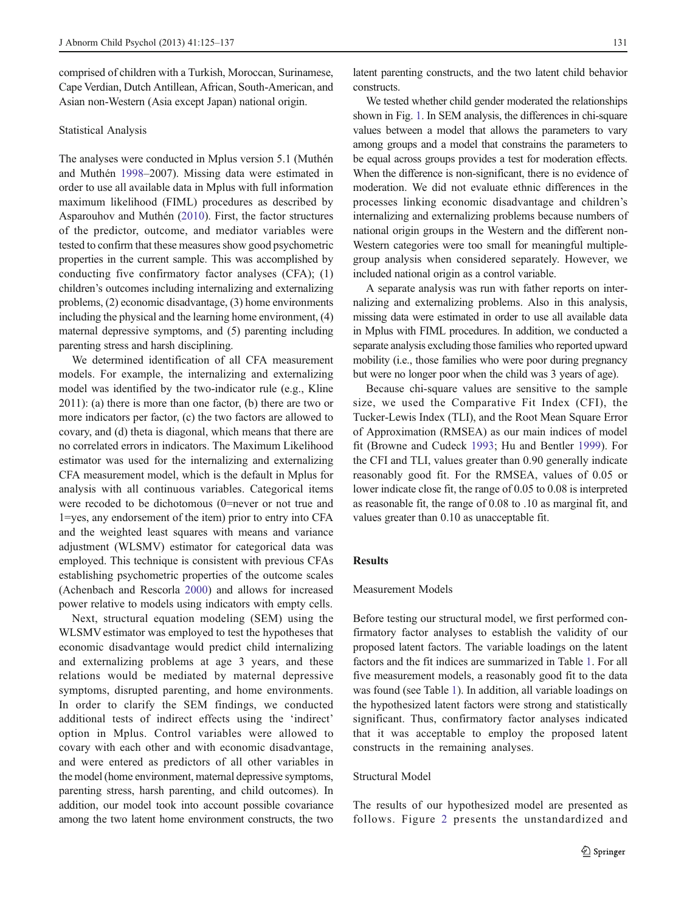comprised of children with a Turkish, Moroccan, Surinamese, Cape Verdian, Dutch Antillean, African, South-American, and Asian non-Western (Asia except Japan) national origin.

# Statistical Analysis

The analyses were conducted in Mplus version 5.1 (Muthén and Muthén [1998](#page-12-0)–2007). Missing data were estimated in order to use all available data in Mplus with full information maximum likelihood (FIML) procedures as described by Asparouhov and Muthén [\(2010](#page-11-0)). First, the factor structures of the predictor, outcome, and mediator variables were tested to confirm that these measures show good psychometric properties in the current sample. This was accomplished by conducting five confirmatory factor analyses (CFA); (1) children's outcomes including internalizing and externalizing problems, (2) economic disadvantage, (3) home environments including the physical and the learning home environment, (4) maternal depressive symptoms, and (5) parenting including parenting stress and harsh disciplining.

We determined identification of all CFA measurement models. For example, the internalizing and externalizing model was identified by the two-indicator rule (e.g., Kline 2011): (a) there is more than one factor, (b) there are two or more indicators per factor, (c) the two factors are allowed to covary, and (d) theta is diagonal, which means that there are no correlated errors in indicators. The Maximum Likelihood estimator was used for the internalizing and externalizing CFA measurement model, which is the default in Mplus for analysis with all continuous variables. Categorical items were recoded to be dichotomous ( $0$ =never or not true and 1=yes, any endorsement of the item) prior to entry into CFA and the weighted least squares with means and variance adjustment (WLSMV) estimator for categorical data was employed. This technique is consistent with previous CFAs establishing psychometric properties of the outcome scales (Achenbach and Rescorla [2000](#page-11-0)) and allows for increased power relative to models using indicators with empty cells.

Next, structural equation modeling (SEM) using the WLSMV estimator was employed to test the hypotheses that economic disadvantage would predict child internalizing and externalizing problems at age 3 years, and these relations would be mediated by maternal depressive symptoms, disrupted parenting, and home environments. In order to clarify the SEM findings, we conducted additional tests of indirect effects using the 'indirect' option in Mplus. Control variables were allowed to covary with each other and with economic disadvantage, and were entered as predictors of all other variables in the model (home environment, maternal depressive symptoms, parenting stress, harsh parenting, and child outcomes). In addition, our model took into account possible covariance among the two latent home environment constructs, the two

latent parenting constructs, and the two latent child behavior constructs.

We tested whether child gender moderated the relationships shown in Fig. [1](#page-3-0). In SEM analysis, the differences in chi-square values between a model that allows the parameters to vary among groups and a model that constrains the parameters to be equal across groups provides a test for moderation effects. When the difference is non-significant, there is no evidence of moderation. We did not evaluate ethnic differences in the processes linking economic disadvantage and children's internalizing and externalizing problems because numbers of national origin groups in the Western and the different non-Western categories were too small for meaningful multiplegroup analysis when considered separately. However, we included national origin as a control variable.

A separate analysis was run with father reports on internalizing and externalizing problems. Also in this analysis, missing data were estimated in order to use all available data in Mplus with FIML procedures. In addition, we conducted a separate analysis excluding those families who reported upward mobility (i.e., those families who were poor during pregnancy but were no longer poor when the child was 3 years of age).

Because chi-square values are sensitive to the sample size, we used the Comparative Fit Index (CFI), the Tucker-Lewis Index (TLI), and the Root Mean Square Error of Approximation (RMSEA) as our main indices of model fit (Browne and Cudeck [1993;](#page-11-0) Hu and Bentler [1999](#page-11-0)). For the CFI and TLI, values greater than 0.90 generally indicate reasonably good fit. For the RMSEA, values of 0.05 or lower indicate close fit, the range of 0.05 to 0.08 is interpreted as reasonable fit, the range of 0.08 to .10 as marginal fit, and values greater than 0.10 as unacceptable fit.

#### Results

### Measurement Models

Before testing our structural model, we first performed confirmatory factor analyses to establish the validity of our proposed latent factors. The variable loadings on the latent factors and the fit indices are summarized in Table [1](#page-4-0). For all five measurement models, a reasonably good fit to the data was found (see Table [1\)](#page-4-0). In addition, all variable loadings on the hypothesized latent factors were strong and statistically significant. Thus, confirmatory factor analyses indicated that it was acceptable to employ the proposed latent constructs in the remaining analyses.

# Structural Model

The results of our hypothesized model are presented as follows. Figure [2](#page-7-0) presents the unstandardized and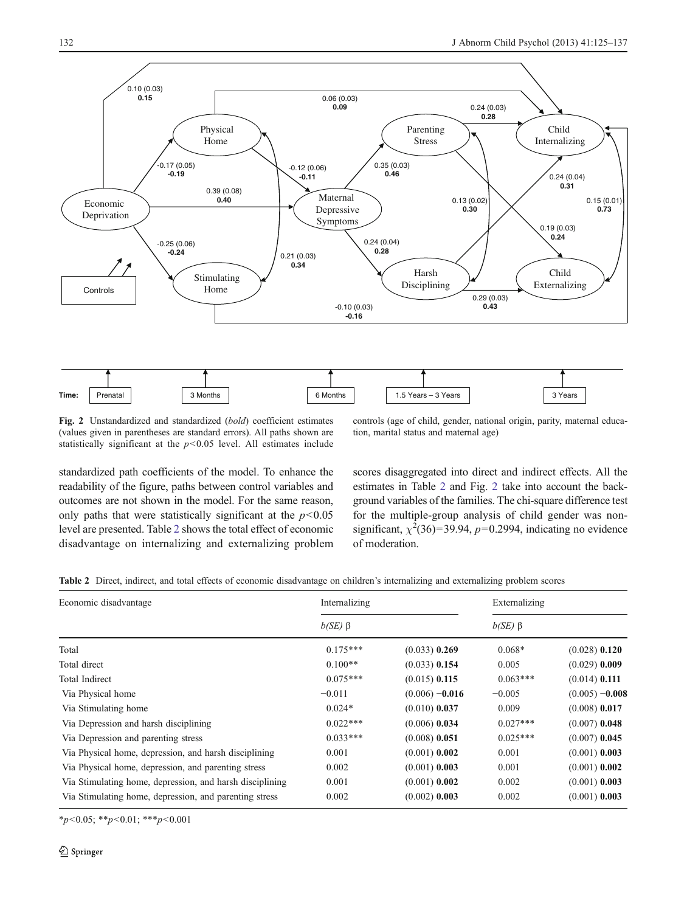<span id="page-7-0"></span>

Fig. 2 Unstandardized and standardized (bold) coefficient estimates (values given in parentheses are standard errors). All paths shown are statistically significant at the  $p<0.05$  level. All estimates include

controls (age of child, gender, national origin, parity, maternal education, marital status and maternal age)

standardized path coefficients of the model. To enhance the readability of the figure, paths between control variables and outcomes are not shown in the model. For the same reason, only paths that were statistically significant at the  $p<0.05$ level are presented. Table 2 shows the total effect of economic disadvantage on internalizing and externalizing problem scores disaggregated into direct and indirect effects. All the estimates in Table 2 and Fig. 2 take into account the background variables of the families. The chi-square difference test for the multiple-group analysis of child gender was nonsignificant,  $\chi^2(36)=39.94$ ,  $p=0.2994$ , indicating no evidence of moderation.

|  |  |  |  |  |  |  | Table 2 Direct, indirect, and total effects of economic disadvantage on children's internalizing and externalizing problem scores |  |
|--|--|--|--|--|--|--|-----------------------------------------------------------------------------------------------------------------------------------|--|
|--|--|--|--|--|--|--|-----------------------------------------------------------------------------------------------------------------------------------|--|

| Economic disadvantage                                    | Internalizing<br>$b(SE)$ $\beta$ |                  | Externalizing<br>$b(SE)$ $\beta$ |                  |
|----------------------------------------------------------|----------------------------------|------------------|----------------------------------|------------------|
|                                                          |                                  |                  |                                  |                  |
| Total                                                    | $0.175***$                       | $(0.033)$ 0.269  | $0.068*$                         | $(0.028)$ 0.120  |
| Total direct                                             | $0.100**$                        | $(0.033)$ 0.154  | 0.005                            | $(0.029)$ 0.009  |
| Total Indirect                                           | $0.075***$                       | $(0.015)$ 0.115  | $0.063***$                       | $(0.014)$ 0.111  |
| Via Physical home                                        | $-0.011$                         | $(0.006) -0.016$ | $-0.005$                         | $(0.005) -0.008$ |
| Via Stimulating home                                     | $0.024*$                         | $(0.010)$ 0.037  | 0.009                            | $(0.008)$ 0.017  |
| Via Depression and harsh disciplining                    | $0.022***$                       | $(0.006)$ 0.034  | $0.027***$                       | $(0.007)$ 0.048  |
| Via Depression and parenting stress                      | $0.033***$                       | $(0.008)$ 0.051  | $0.025***$                       | $(0.007)$ 0.045  |
| Via Physical home, depression, and harsh disciplining    | 0.001                            | $(0.001)$ 0.002  | 0.001                            | $(0.001)$ 0.003  |
| Via Physical home, depression, and parenting stress      | 0.002                            | $(0.001)$ 0.003  | 0.001                            | $(0.001)$ 0.002  |
| Via Stimulating home, depression, and harsh disciplining | 0.001                            | $(0.001)$ 0.002  | 0.002                            | $(0.001)$ 0.003  |
| Via Stimulating home, depression, and parenting stress   | 0.002                            | $(0.002)$ 0.003  | 0.002                            | $(0.001)$ 0.003  |

 $*_{p<0.05}$ ;  $*_{p<0.01}$ ;  $*_{p<0.001}$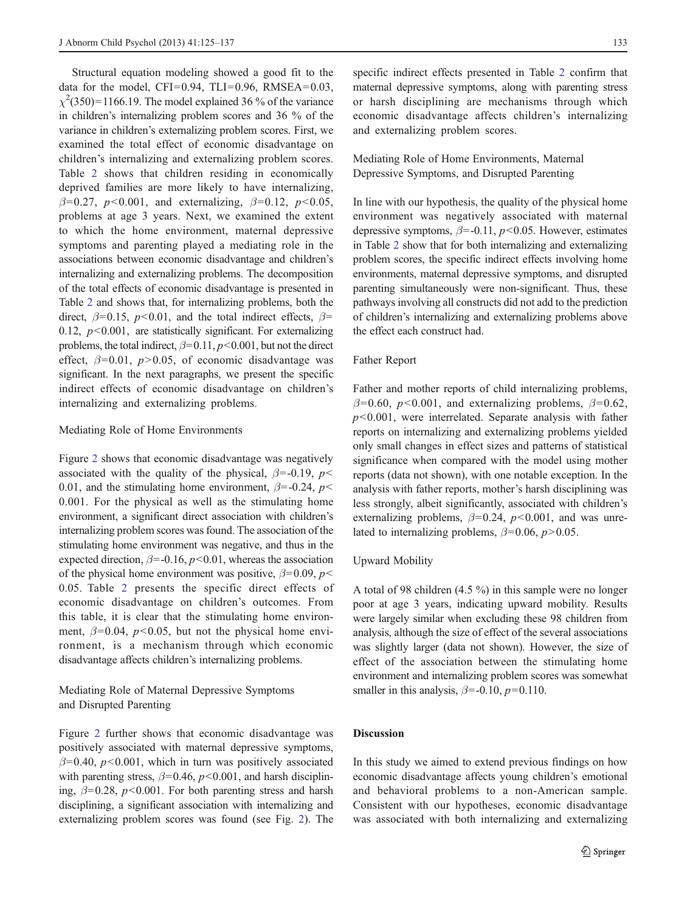Structural equation modeling showed a good fit to the data for the model, CFI=0.94, TLI=0.96, RMSEA= $0.03$ ,  $\chi^2(350)$ =1166.19. The model explained 36 % of the variance in children's internalizing problem scores and 36 % of the variance in children's externalizing problem scores. First, we examined the total effect of economic disadvantage on children's internalizing and externalizing problem scores. Table [2](#page-7-0) shows that children residing in economically deprived families are more likely to have internalizing,  $\beta = 0.27$ ,  $p < 0.001$ , and externalizing,  $\beta = 0.12$ ,  $p < 0.05$ , problems at age 3 years. Next, we examined the extent to which the home environment, maternal depressive symptoms and parenting played a mediating role in the associations between economic disadvantage and children's internalizing and externalizing problems. The decomposition of the total effects of economic disadvantage is presented in Table [2](#page-7-0) and shows that, for internalizing problems, both the direct,  $\beta$ =0.15, p<0.01, and the total indirect effects,  $\beta$ = 0.12,  $p<0.001$ , are statistically significant. For externalizing problems, the total indirect,  $\beta=0.11$ ,  $p<0.001$ , but not the direct effect,  $\beta$ =0.01, p>0.05, of economic disadvantage was significant. In the next paragraphs, we present the specific indirect effects of economic disadvantage on children's internalizing and externalizing problems.

#### Mediating Role of Home Environments

Figure [2](#page-7-0) shows that economic disadvantage was negatively associated with the quality of the physical,  $\beta$ =-0.19, p< 0.01, and the stimulating home environment,  $\beta$ =-0.24, p< 0.001. For the physical as well as the stimulating home environment, a significant direct association with children's internalizing problem scores was found. The association of the stimulating home environment was negative, and thus in the expected direction,  $\beta$ =-0.16, p<0.01, whereas the association of the physical home environment was positive,  $\beta=0.09$ ,  $p<$ 0.05. Table [2](#page-7-0) presents the specific direct effects of economic disadvantage on children's outcomes. From this table, it is clear that the stimulating home environment,  $\beta$ =0.04, p<0.05, but not the physical home environment, is a mechanism through which economic disadvantage affects children's internalizing problems.

# Mediating Role of Maternal Depressive Symptoms and Disrupted Parenting

Figure [2](#page-7-0) further shows that economic disadvantage was positively associated with maternal depressive symptoms,  $\beta$ =0.40, p<0.001, which in turn was positively associated with parenting stress,  $\beta$ =0.46, p<0.001, and harsh disciplining,  $\beta$ =0.28, p<0.001. For both parenting stress and harsh disciplining, a significant association with internalizing and externalizing problem scores was found (see Fig. [2\)](#page-7-0). The specific indirect effects presented in Table [2](#page-7-0) confirm that maternal depressive symptoms, along with parenting stress or harsh disciplining are mechanisms through which economic disadvantage affects children's internalizing and externalizing problem scores.

Mediating Role of Home Environments, Maternal Depressive Symptoms, and Disrupted Parenting

In line with our hypothesis, the quality of the physical home environment was negatively associated with maternal depressive symptoms,  $\beta$ =-0.11,  $p$ <0.05. However, estimates in Table [2](#page-7-0) show that for both internalizing and externalizing problem scores, the specific indirect effects involving home environments, maternal depressive symptoms, and disrupted parenting simultaneously were non-significant. Thus, these pathways involving all constructs did not add to the prediction of children's internalizing and externalizing problems above the effect each construct had.

# Father Report

Father and mother reports of child internalizing problems,  $\beta$ =0.60, p<0.001, and externalizing problems,  $\beta$ =0.62,  $p<0.001$ , were interrelated. Separate analysis with father reports on internalizing and externalizing problems yielded only small changes in effect sizes and patterns of statistical significance when compared with the model using mother reports (data not shown), with one notable exception. In the analysis with father reports, mother's harsh disciplining was less strongly, albeit significantly, associated with children's externalizing problems,  $\beta=0.24$ ,  $p<0.001$ , and was unrelated to internalizing problems,  $\beta=0.06$ ,  $p>0.05$ .

# Upward Mobility

A total of 98 children (4.5 %) in this sample were no longer poor at age 3 years, indicating upward mobility. Results were largely similar when excluding these 98 children from analysis, although the size of effect of the several associations was slightly larger (data not shown). However, the size of effect of the association between the stimulating home environment and internalizing problem scores was somewhat smaller in this analysis,  $\beta$ =-0.10,  $p$ =0.110.

# **Discussion**

In this study we aimed to extend previous findings on how economic disadvantage affects young children's emotional and behavioral problems to a non-American sample. Consistent with our hypotheses, economic disadvantage was associated with both internalizing and externalizing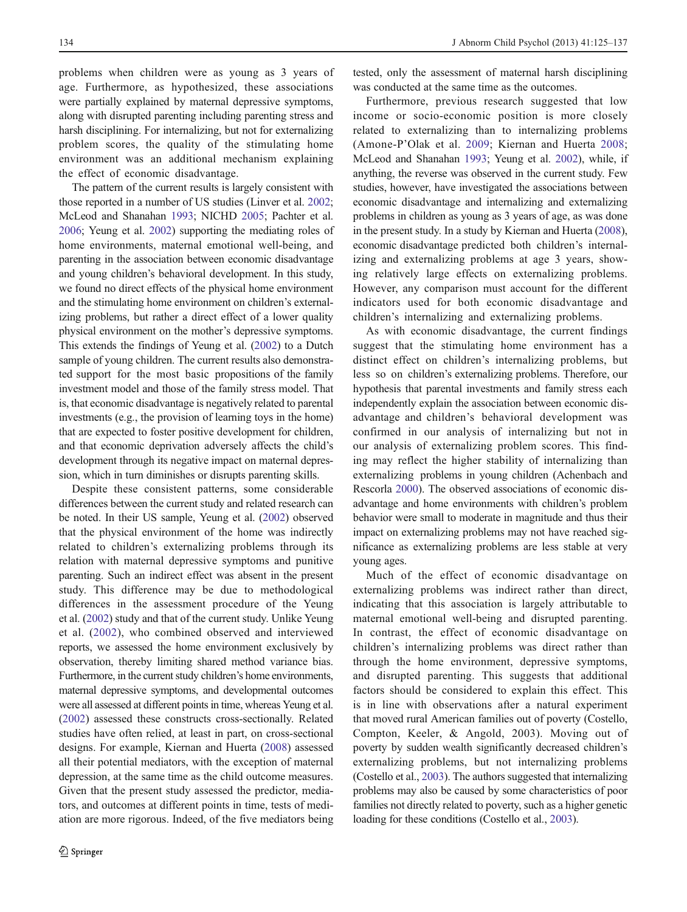problems when children were as young as 3 years of age. Furthermore, as hypothesized, these associations were partially explained by maternal depressive symptoms, along with disrupted parenting including parenting stress and harsh disciplining. For internalizing, but not for externalizing problem scores, the quality of the stimulating home environment was an additional mechanism explaining the effect of economic disadvantage.

The pattern of the current results is largely consistent with those reported in a number of US studies (Linver et al. [2002](#page-12-0); McLeod and Shanahan [1993;](#page-12-0) NICHD [2005](#page-12-0); Pachter et al. [2006;](#page-12-0) Yeung et al. [2002\)](#page-12-0) supporting the mediating roles of home environments, maternal emotional well-being, and parenting in the association between economic disadvantage and young children's behavioral development. In this study, we found no direct effects of the physical home environment and the stimulating home environment on children's externalizing problems, but rather a direct effect of a lower quality physical environment on the mother's depressive symptoms. This extends the findings of Yeung et al. ([2002](#page-12-0)) to a Dutch sample of young children. The current results also demonstrated support for the most basic propositions of the family investment model and those of the family stress model. That is, that economic disadvantage is negatively related to parental investments (e.g., the provision of learning toys in the home) that are expected to foster positive development for children, and that economic deprivation adversely affects the child's development through its negative impact on maternal depression, which in turn diminishes or disrupts parenting skills.

Despite these consistent patterns, some considerable differences between the current study and related research can be noted. In their US sample, Yeung et al. ([2002](#page-12-0)) observed that the physical environment of the home was indirectly related to children's externalizing problems through its relation with maternal depressive symptoms and punitive parenting. Such an indirect effect was absent in the present study. This difference may be due to methodological differences in the assessment procedure of the Yeung et al. ([2002\)](#page-12-0) study and that of the current study. Unlike Yeung et al. ([2002\)](#page-12-0), who combined observed and interviewed reports, we assessed the home environment exclusively by observation, thereby limiting shared method variance bias. Furthermore, in the current study children's home environments, maternal depressive symptoms, and developmental outcomes were all assessed at different points in time, whereas Yeung et al. [\(2002](#page-12-0)) assessed these constructs cross-sectionally. Related studies have often relied, at least in part, on cross-sectional designs. For example, Kiernan and Huerta [\(2008](#page-12-0)) assessed all their potential mediators, with the exception of maternal depression, at the same time as the child outcome measures. Given that the present study assessed the predictor, mediators, and outcomes at different points in time, tests of mediation are more rigorous. Indeed, of the five mediators being tested, only the assessment of maternal harsh disciplining was conducted at the same time as the outcomes.

Furthermore, previous research suggested that low income or socio-economic position is more closely related to externalizing than to internalizing problems (Amone-P'Olak et al. [2009;](#page-11-0) Kiernan and Huerta [2008;](#page-12-0) McLeod and Shanahan [1993](#page-12-0); Yeung et al. [2002](#page-12-0)), while, if anything, the reverse was observed in the current study. Few studies, however, have investigated the associations between economic disadvantage and internalizing and externalizing problems in children as young as 3 years of age, as was done in the present study. In a study by Kiernan and Huerta [\(2008\)](#page-12-0), economic disadvantage predicted both children's internalizing and externalizing problems at age 3 years, showing relatively large effects on externalizing problems. However, any comparison must account for the different indicators used for both economic disadvantage and children's internalizing and externalizing problems.

As with economic disadvantage, the current findings suggest that the stimulating home environment has a distinct effect on children's internalizing problems, but less so on children's externalizing problems. Therefore, our hypothesis that parental investments and family stress each independently explain the association between economic disadvantage and children's behavioral development was confirmed in our analysis of internalizing but not in our analysis of externalizing problem scores. This finding may reflect the higher stability of internalizing than externalizing problems in young children (Achenbach and Rescorla [2000\)](#page-11-0). The observed associations of economic disadvantage and home environments with children's problem behavior were small to moderate in magnitude and thus their impact on externalizing problems may not have reached significance as externalizing problems are less stable at very young ages.

Much of the effect of economic disadvantage on externalizing problems was indirect rather than direct, indicating that this association is largely attributable to maternal emotional well-being and disrupted parenting. In contrast, the effect of economic disadvantage on children's internalizing problems was direct rather than through the home environment, depressive symptoms, and disrupted parenting. This suggests that additional factors should be considered to explain this effect. This is in line with observations after a natural experiment that moved rural American families out of poverty (Costello, Compton, Keeler, & Angold, 2003). Moving out of poverty by sudden wealth significantly decreased children's externalizing problems, but not internalizing problems (Costello et al., [2003](#page-11-0)). The authors suggested that internalizing problems may also be caused by some characteristics of poor families not directly related to poverty, such as a higher genetic loading for these conditions (Costello et al., [2003](#page-11-0)).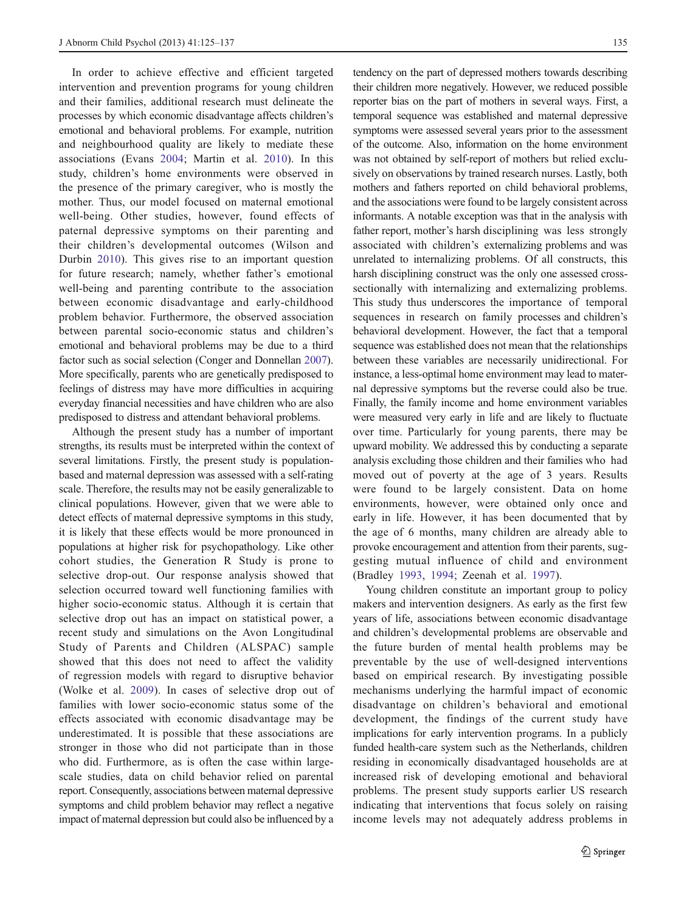In order to achieve effective and efficient targeted intervention and prevention programs for young children and their families, additional research must delineate the processes by which economic disadvantage affects children's emotional and behavioral problems. For example, nutrition and neighbourhood quality are likely to mediate these associations (Evans [2004](#page-11-0); Martin et al. [2010](#page-12-0)). In this study, children's home environments were observed in the presence of the primary caregiver, who is mostly the mother. Thus, our model focused on maternal emotional well-being. Other studies, however, found effects of paternal depressive symptoms on their parenting and their children's developmental outcomes (Wilson and Durbin [2010\)](#page-12-0). This gives rise to an important question for future research; namely, whether father's emotional well-being and parenting contribute to the association between economic disadvantage and early-childhood problem behavior. Furthermore, the observed association between parental socio-economic status and children's emotional and behavioral problems may be due to a third factor such as social selection (Conger and Donnellan [2007\)](#page-11-0). More specifically, parents who are genetically predisposed to feelings of distress may have more difficulties in acquiring everyday financial necessities and have children who are also predisposed to distress and attendant behavioral problems.

Although the present study has a number of important strengths, its results must be interpreted within the context of several limitations. Firstly, the present study is populationbased and maternal depression was assessed with a self-rating scale. Therefore, the results may not be easily generalizable to clinical populations. However, given that we were able to detect effects of maternal depressive symptoms in this study, it is likely that these effects would be more pronounced in populations at higher risk for psychopathology. Like other cohort studies, the Generation R Study is prone to selective drop-out. Our response analysis showed that selection occurred toward well functioning families with higher socio-economic status. Although it is certain that selective drop out has an impact on statistical power, a recent study and simulations on the Avon Longitudinal Study of Parents and Children (ALSPAC) sample showed that this does not need to affect the validity of regression models with regard to disruptive behavior (Wolke et al. [2009\)](#page-12-0). In cases of selective drop out of families with lower socio-economic status some of the effects associated with economic disadvantage may be underestimated. It is possible that these associations are stronger in those who did not participate than in those who did. Furthermore, as is often the case within largescale studies, data on child behavior relied on parental report. Consequently, associations between maternal depressive symptoms and child problem behavior may reflect a negative impact of maternal depression but could also be influenced by a

tendency on the part of depressed mothers towards describing their children more negatively. However, we reduced possible reporter bias on the part of mothers in several ways. First, a temporal sequence was established and maternal depressive symptoms were assessed several years prior to the assessment of the outcome. Also, information on the home environment was not obtained by self-report of mothers but relied exclusively on observations by trained research nurses. Lastly, both mothers and fathers reported on child behavioral problems, and the associations were found to be largely consistent across informants. A notable exception was that in the analysis with father report, mother's harsh disciplining was less strongly associated with children's externalizing problems and was unrelated to internalizing problems. Of all constructs, this harsh disciplining construct was the only one assessed crosssectionally with internalizing and externalizing problems. This study thus underscores the importance of temporal sequences in research on family processes and children's behavioral development. However, the fact that a temporal sequence was established does not mean that the relationships between these variables are necessarily unidirectional. For instance, a less-optimal home environment may lead to maternal depressive symptoms but the reverse could also be true. Finally, the family income and home environment variables were measured very early in life and are likely to fluctuate over time. Particularly for young parents, there may be upward mobility. We addressed this by conducting a separate analysis excluding those children and their families who had moved out of poverty at the age of 3 years. Results were found to be largely consistent. Data on home environments, however, were obtained only once and early in life. However, it has been documented that by the age of 6 months, many children are already able to provoke encouragement and attention from their parents, suggesting mutual influence of child and environment (Bradley [1993](#page-11-0), [1994;](#page-11-0) Zeenah et al. [1997\)](#page-12-0).

Young children constitute an important group to policy makers and intervention designers. As early as the first few years of life, associations between economic disadvantage and children's developmental problems are observable and the future burden of mental health problems may be preventable by the use of well-designed interventions based on empirical research. By investigating possible mechanisms underlying the harmful impact of economic disadvantage on children's behavioral and emotional development, the findings of the current study have implications for early intervention programs. In a publicly funded health-care system such as the Netherlands, children residing in economically disadvantaged households are at increased risk of developing emotional and behavioral problems. The present study supports earlier US research indicating that interventions that focus solely on raising income levels may not adequately address problems in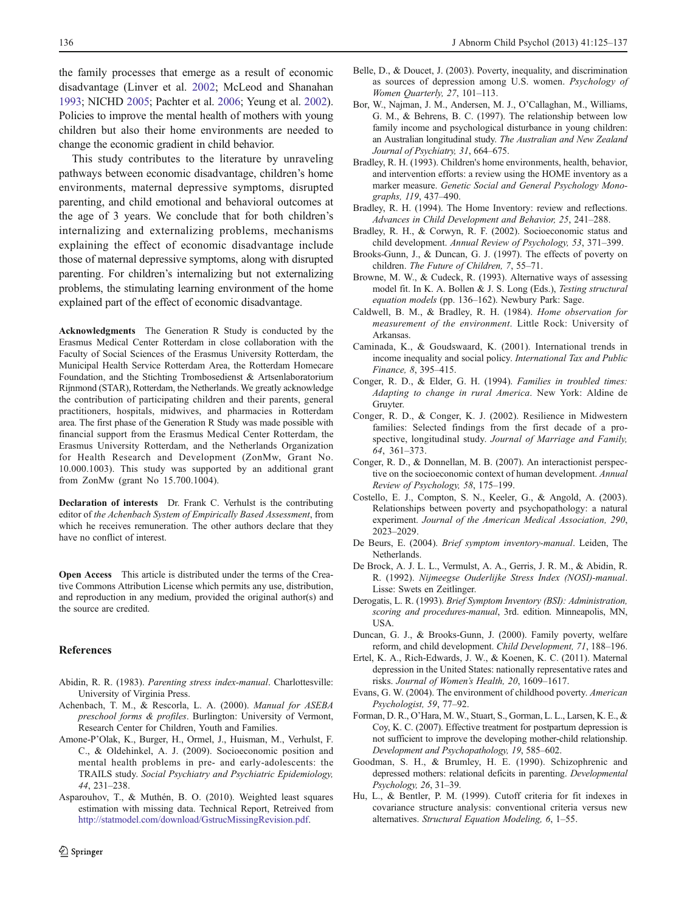<span id="page-11-0"></span>the family processes that emerge as a result of economic disadvantage (Linver et al. [2002;](#page-12-0) McLeod and Shanahan [1993;](#page-12-0) NICHD [2005;](#page-12-0) Pachter et al. [2006](#page-12-0); Yeung et al. [2002\)](#page-12-0). Policies to improve the mental health of mothers with young children but also their home environments are needed to change the economic gradient in child behavior.

This study contributes to the literature by unraveling pathways between economic disadvantage, children's home environments, maternal depressive symptoms, disrupted parenting, and child emotional and behavioral outcomes at the age of 3 years. We conclude that for both children's internalizing and externalizing problems, mechanisms explaining the effect of economic disadvantage include those of maternal depressive symptoms, along with disrupted parenting. For children's internalizing but not externalizing problems, the stimulating learning environment of the home explained part of the effect of economic disadvantage.

Acknowledgments The Generation R Study is conducted by the Erasmus Medical Center Rotterdam in close collaboration with the Faculty of Social Sciences of the Erasmus University Rotterdam, the Municipal Health Service Rotterdam Area, the Rotterdam Homecare Foundation, and the Stichting Trombosedienst & Artsenlaboratorium Rijnmond (STAR), Rotterdam, the Netherlands. We greatly acknowledge the contribution of participating children and their parents, general practitioners, hospitals, midwives, and pharmacies in Rotterdam area. The first phase of the Generation R Study was made possible with financial support from the Erasmus Medical Center Rotterdam, the Erasmus University Rotterdam, and the Netherlands Organization for Health Research and Development (ZonMw, Grant No. 10.000.1003). This study was supported by an additional grant from ZonMw (grant No 15.700.1004).

Declaration of interests Dr. Frank C. Verhulst is the contributing editor of the Achenbach System of Empirically Based Assessment, from which he receives remuneration. The other authors declare that they have no conflict of interest.

Open Access This article is distributed under the terms of the Creative Commons Attribution License which permits any use, distribution, and reproduction in any medium, provided the original author(s) and the source are credited.

#### **References**

- Abidin, R. R. (1983). Parenting stress index-manual. Charlottesville: University of Virginia Press.
- Achenbach, T. M., & Rescorla, L. A. (2000). Manual for ASEBA preschool forms & profiles. Burlington: University of Vermont, Research Center for Children, Youth and Families.
- Amone-P'Olak, K., Burger, H., Ormel, J., Huisman, M., Verhulst, F. C., & Oldehinkel, A. J. (2009). Socioeconomic position and mental health problems in pre- and early-adolescents: the TRAILS study. Social Psychiatry and Psychiatric Epidemiology, 44, 231–238.
- Asparouhov, T., & Muthén, B. O. (2010). Weighted least squares estimation with missing data. Technical Report, Retreived from [http://statmodel.com/download/GstrucMissingRevision.pdf.](http://statmodel.com/download/GstrucMissingRevision.pdf)
- Belle, D., & Doucet, J. (2003). Poverty, inequality, and discrimination as sources of depression among U.S. women. Psychology of Women Quarterly, 27, 101-113.
- Bor, W., Najman, J. M., Andersen, M. J., O'Callaghan, M., Williams, G. M., & Behrens, B. C. (1997). The relationship between low family income and psychological disturbance in young children: an Australian longitudinal study. The Australian and New Zealand Journal of Psychiatry, 31, 664–675.
- Bradley, R. H. (1993). Children's home environments, health, behavior, and intervention efforts: a review using the HOME inventory as a marker measure. Genetic Social and General Psychology Monographs, 119, 437–490.
- Bradley, R. H. (1994). The Home Inventory: review and reflections. Advances in Child Development and Behavior, 25, 241–288.
- Bradley, R. H., & Corwyn, R. F. (2002). Socioeconomic status and child development. Annual Review of Psychology, 53, 371–399.
- Brooks-Gunn, J., & Duncan, G. J. (1997). The effects of poverty on children. The Future of Children, 7, 55–71.
- Browne, M. W., & Cudeck, R. (1993). Alternative ways of assessing model fit. In K. A. Bollen & J. S. Long (Eds.), Testing structural equation models (pp. 136–162). Newbury Park: Sage.
- Caldwell, B. M., & Bradley, R. H. (1984). Home observation for measurement of the environment. Little Rock: University of Arkansas.
- Caminada, K., & Goudswaard, K. (2001). International trends in income inequality and social policy. International Tax and Public Finance, 8, 395–415.
- Conger, R. D., & Elder, G. H. (1994). Families in troubled times: Adapting to change in rural America. New York: Aldine de Gruyter.
- Conger, R. D., & Conger, K. J. (2002). Resilience in Midwestern families: Selected findings from the first decade of a prospective, longitudinal study. Journal of Marriage and Family, 64, 361–373.
- Conger, R. D., & Donnellan, M. B. (2007). An interactionist perspective on the socioeconomic context of human development. Annual Review of Psychology, 58, 175–199.
- Costello, E. J., Compton, S. N., Keeler, G., & Angold, A. (2003). Relationships between poverty and psychopathology: a natural experiment. Journal of the American Medical Association, 290, 2023–2029.
- De Beurs, E. (2004). Brief symptom inventory-manual. Leiden, The Netherlands.
- De Brock, A. J. L. L., Vermulst, A. A., Gerris, J. R. M., & Abidin, R. R. (1992). Nijmeegse Ouderlijke Stress Index (NOSI)-manual. Lisse: Swets en Zeitlinger.
- Derogatis, L. R. (1993). Brief Symptom Inventory (BSI): Administration, scoring and procedures-manual, 3rd. edition. Minneapolis, MN, USA.
- Duncan, G. J., & Brooks-Gunn, J. (2000). Family poverty, welfare reform, and child development. Child Development, 71, 188–196.
- Ertel, K. A., Rich-Edwards, J. W., & Koenen, K. C. (2011). Maternal depression in the United States: nationally representative rates and risks. Journal of Women's Health, 20, 1609–1617.
- Evans, G. W. (2004). The environment of childhood poverty. American Psychologist, 59, 77–92.
- Forman, D. R., O'Hara, M. W., Stuart, S., Gorman, L. L., Larsen, K. E., & Coy, K. C. (2007). Effective treatment for postpartum depression is not sufficient to improve the developing mother-child relationship. Development and Psychopathology, 19, 585–602.
- Goodman, S. H., & Brumley, H. E. (1990). Schizophrenic and depressed mothers: relational deficits in parenting. Developmental Psychology, 26, 31–39.
- Hu, L., & Bentler, P. M. (1999). Cutoff criteria for fit indexes in covariance structure analysis: conventional criteria versus new alternatives. Structural Equation Modeling, 6, 1–55.